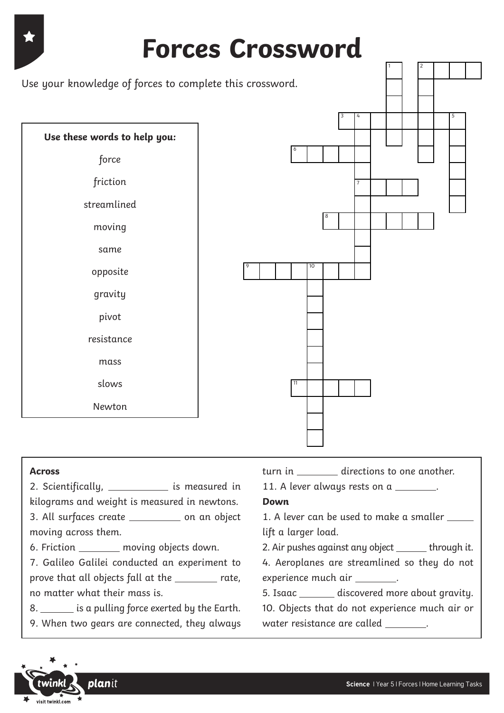

#### **Across**

2. Scientifically, 2. Scientifically, 2. Scientifically, 2. Solution and in

kilograms and weight is measured in newtons. 3. All surfaces create \_\_\_\_\_\_\_\_\_\_\_ on an object moving across them. 6. Friction moving objects down. 7. Galileo Galilei conducted an experiment to prove that all objects fall at the rate, no matter what their mass is. 8. similary is a pulling force exerted by the Earth. 9. When two gears are connected, they always **Down** 1. A lever can be used to make a smaller lift a larger load. 2. Air pushes against any object \_\_\_\_\_\_ through it. 4. Aeroplanes are streamlined so they do not experience much air \_\_\_\_\_\_\_. 5. Isaac \_\_\_\_\_\_\_ discovered more about gravity. 10. Objects that do not experience much air or water resistance are called \_\_\_\_\_\_\_.



turn in directions to one another.

11. A lever always rests on a \_\_\_\_\_\_\_.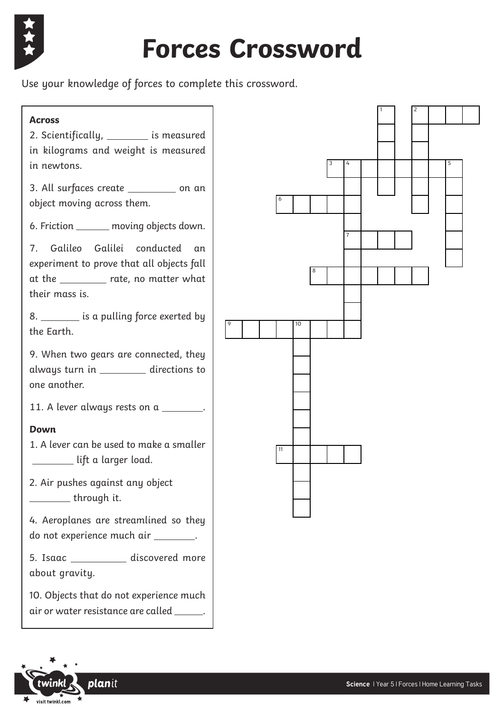

# **Forces Crossword**

Use your knowledge of forces to complete this crossword.

#### **Across**

2. Scientifically, \_\_\_\_\_\_\_\_ is measured in kilograms and weight is measured in newtons.

3. All surfaces create \_\_\_\_\_\_\_\_ on an object moving across them.

6. Friction \_\_\_\_\_\_ moving objects down.

7. Galileo Galilei conducted an experiment to prove that all objects fall at the \_\_\_\_\_\_\_\_ rate, no matter what their mass is.

8. \_\_\_\_\_\_\_\_\_ is a pulling force exerted by the Earth.

9. When two gears are connected, they always turn in \_\_\_\_\_\_\_\_ directions to one another.

11. A lever always rests on a \_\_\_\_\_\_\_.

### **Down**

1. A lever can be used to make a smaller **Lift a larger load.** 

2. Air pushes against any object through it.

4. Aeroplanes are streamlined so they do not experience much air \_\_\_\_\_\_\_.

5. Isaac discovered more about gravity.

10. Objects that do not experience much air or water resistance are called \_\_\_\_\_\_.